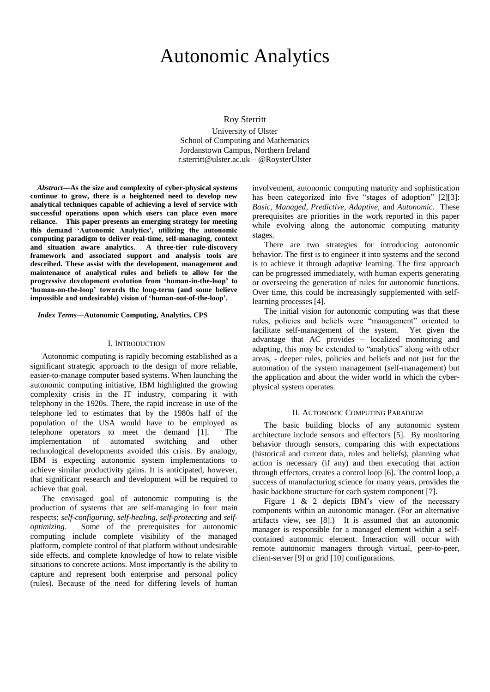# Autonomic Analytics

Roy Sterritt

University of Ulster School of Computing and Mathematics Jordanstown Campus, Northern Ireland r.sterritt@ulster.ac.uk – @RoysterUlster

*Abstract***—As the size and complexity of cyber-physical systems continue to grow, there is a heightened need to develop new analytical techniques capable of achieving a level of service with successful operations upon which users can place even more reliance. This paper presents an emerging strategy for meeting this demand 'Autonomic Analytics', utilizing the autonomic computing paradigm to deliver real-time, self-managing, context and situation aware analytics. A three-tier rule-discovery framework and associated support and analysis tools are described. These assist with the development, management and maintenance of analytical rules and beliefs to allow for the progressive development evolution from 'human-in-the-loop' to 'human-on-the-loop' towards the long-term (and some believe impossible and undesirable) vision of 'human-out-of-the-loop'.** 

#### *Index Terms***—Autonomic Computing, Analytics, CPS**

#### I. INTRODUCTION

Autonomic computing is rapidly becoming established as a significant strategic approach to the design of more reliable, easier-to-manage computer based systems. When launching the autonomic computing initiative, IBM highlighted the growing complexity crisis in the IT industry, comparing it with telephony in the 1920s. There, the rapid increase in use of the telephone led to estimates that by the 1980s half of the population of the USA would have to be employed as telephone operators to meet the demand [\[1\].](#page-3-0) The implementation of automated switching and other technological developments avoided this crisis. By analogy, IBM is expecting autonomic system implementations to achieve similar productivity gains. It is anticipated, however, that significant research and development will be required to achieve that goal.

The envisaged goal of autonomic computing is the production of systems that are self-managing in four main respects: *self-configuring*, *self-healing*, *self-protecting* and *selfoptimizing*. Some of the prerequisites for autonomic computing include complete visibility of the managed platform, complete control of that platform without undesirable side effects, and complete knowledge of how to relate visible situations to concrete actions. Most importantly is the ability to capture and represent both enterprise and personal policy (rules). Because of the need for differing levels of human involvement, autonomic computing maturity and sophistication has been categorized into five "stages of adoption" [\[2\]\[3\]:](#page-3-1) *Basic, Managed, Predictive, Adaptive,* and *Autonomic.* These prerequisites are priorities in the work reported in this paper while evolving along the autonomic computing maturity stages.

There are two strategies for introducing autonomic behavior. The first is to engineer it into systems and the second is to achieve it through adaptive learning. The first approach can be progressed immediately, with human experts generating or overseeing the generation of rules for autonomic functions. Over time, this could be increasingly supplemented with selflearning processes [\[4\].](#page-3-2) 

The initial vision for autonomic computing was that these rules, policies and beliefs were "management" oriented to facilitate self-management of the system. Yet given the advantage that AC provides – localized monitoring and adapting, this may be extended to "analytics" along with other areas, - deeper rules, policies and beliefs and not just for the automation of the system management (self-management) but the application and about the wider world in which the cyberphysical system operates.

#### II. AUTONOMIC COMPUTING PARADIGM

The basic building blocks of any autonomic system architecture include sensors and effectors [\[5\].](#page-3-3) By monitoring behavior through sensors, comparing this with expectations (historical and current data, rules and beliefs), planning what action is necessary (if any) and then executing that action through effectors, creates a control loo[p \[6\].](#page-3-4) The control loop, a success of manufacturing science for many years, provides the basic backbone structure for each system componen[t \[7\].](#page-3-5)

Figure 1  $\&$  2 depicts IBM's view of the necessary components within an autonomic manager. (For an alternative artifacts view, see [\[8\].](#page-3-6)) It is assumed that an autonomic manager is responsible for a managed element within a selfcontained autonomic element. Interaction will occur with remote autonomic managers through virtual, peer-to-peer, client-serve[r \[9\]](#page-3-7) or grid [\[10\]](#page-3-8) configurations.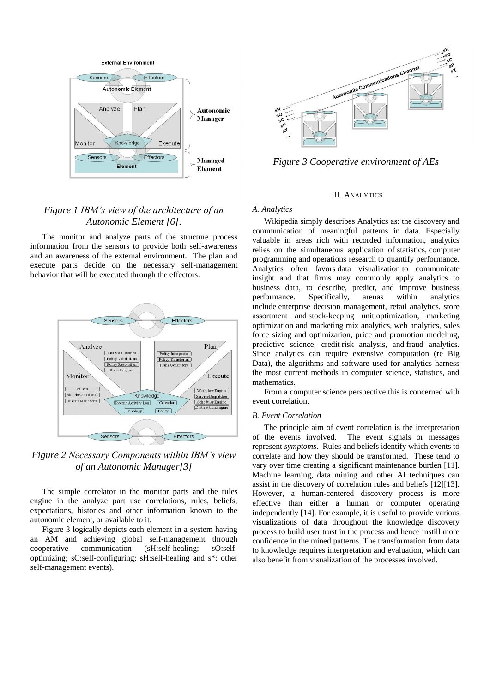

# *Figure 1 IBM's view of the architecture of an Autonomic Element [\[6\].](#page-3-4)*

The monitor and analyze parts of the structure process information from the sensors to provide both self-awareness and an awareness of the external environment. The plan and execute parts decide on the necessary self-management behavior that will be executed through the effectors.



*Figure 2 Necessary Components within IBM's view of an Autonomic Manage[r\[3\]](#page-3-9)*

The simple correlator in the monitor parts and the rules engine in the analyze part use correlations, rules, beliefs, expectations, histories and other information known to the autonomic element, or available to it.

Figure 3 logically depicts each element in a system having an AM and achieving global self-management through cooperative communication (sH:self-healing; sO:selfoptimizing; sC:self-configuring; sH:self-healing and s\*: other self-management events).



*Figure 3 Cooperative environment of AEs*

### III. ANALYTICS

#### *A. Analytics*

Wikipedia simply describes Analytics as: the discovery and communication of meaningful patterns in data. Especially valuable in areas rich with recorded information, analytics relies on the simultaneous application of statistics, computer programming and operations research to quantify performance. Analytics often favors data visualization to communicate insight and that firms may commonly apply analytics to business data, to describe, predict, and improve business performance. Specifically, arenas within analytics include enterprise decision management, retail analytics, store assortment and stock-keeping unit optimization, marketing optimization and marketing mix analytics, web analytics, sales force sizing and optimization, price and promotion modeling, predictive science, credit risk analysis, and fraud analytics. Since analytics can require extensive computation (re Big Data), the algorithms and software used for analytics harness the most current methods in computer science, statistics, and mathematics.

From a computer science perspective this is concerned with event correlation.

## *B. Event Correlation*

The principle aim of event correlation is the interpretation of the events involved. The event signals or messages represent *symptoms*. Rules and beliefs identify which events to correlate and how they should be transformed. These tend to vary over time creating a significant maintenance burden [\[11\].](#page-3-10) Machine learning, data mining and other AI techniques can assist in the discovery of correlation rules and beliefs [\[12\]\[13\].](#page-3-11) However, a human-centered discovery process is more effective than either a human or computer operating independently [\[14\].](#page-3-12) For example, it is useful to provide various visualizations of data throughout the knowledge discovery process to build user trust in the process and hence instill more confidence in the mined patterns. The transformation from data to knowledge requires interpretation and evaluation, which can also benefit from visualization of the processes involved.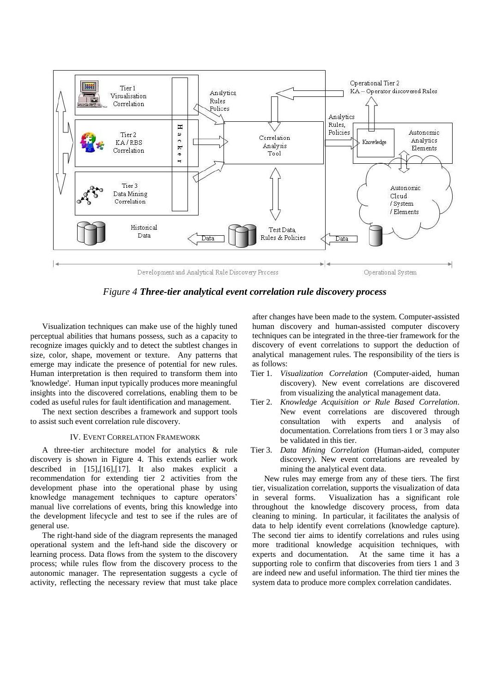

*Figure 4 Three-tier analytical event correlation rule discovery process*

Visualization techniques can make use of the highly tuned perceptual abilities that humans possess, such as a capacity to recognize images quickly and to detect the subtlest changes in size, color, shape, movement or texture. Any patterns that emerge may indicate the presence of potential for new rules. Human interpretation is then required to transform them into 'knowledge'. Human input typically produces more meaningful insights into the discovered correlations, enabling them to be coded as useful rules for fault identification and management.

The next section describes a framework and support tools to assist such event correlation rule discovery.

## IV. EVENT CORRELATION FRAMEWORK

A three-tier architecture model for analytics & rule discovery is shown in Figure 4. This extends earlier work described in [\[15\],](#page-3-13)[\[16\],](#page-3-14)[\[17\].](#page-3-15) It also makes explicit a recommendation for extending tier 2 activities from the development phase into the operational phase by using knowledge management techniques to capture operators' manual live correlations of events, bring this knowledge into the development lifecycle and test to see if the rules are of general use.

The right-hand side of the diagram represents the managed operational system and the left-hand side the discovery or learning process. Data flows from the system to the discovery process; while rules flow from the discovery process to the autonomic manager. The representation suggests a cycle of activity, reflecting the necessary review that must take place after changes have been made to the system. Computer-assisted human discovery and human-assisted computer discovery techniques can be integrated in the three-tier framework for the discovery of event correlations to support the deduction of analytical management rules. The responsibility of the tiers is as follows:

- Tier 1. *Visualization Correlation* (Computer-aided, human discovery). New event correlations are discovered from visualizing the analytical management data.
- Tier 2. *Knowledge Acquisition or Rule Based Correlation*. New event correlations are discovered through consultation with experts and analysis of documentation. Correlations from tiers 1 or 3 may also be validated in this tier.
- Tier 3. *Data Mining Correlation* (Human-aided, computer discovery). New event correlations are revealed by mining the analytical event data.

New rules may emerge from any of these tiers. The first tier, visualization correlation, supports the visualization of data in several forms. Visualization has a significant role throughout the knowledge discovery process, from data cleaning to mining. In particular, it facilitates the analysis of data to help identify event correlations (knowledge capture). The second tier aims to identify correlations and rules using more traditional knowledge acquisition techniques, with experts and documentation. At the same time it has a supporting role to confirm that discoveries from tiers 1 and 3 are indeed new and useful information. The third tier mines the system data to produce more complex correlation candidates.